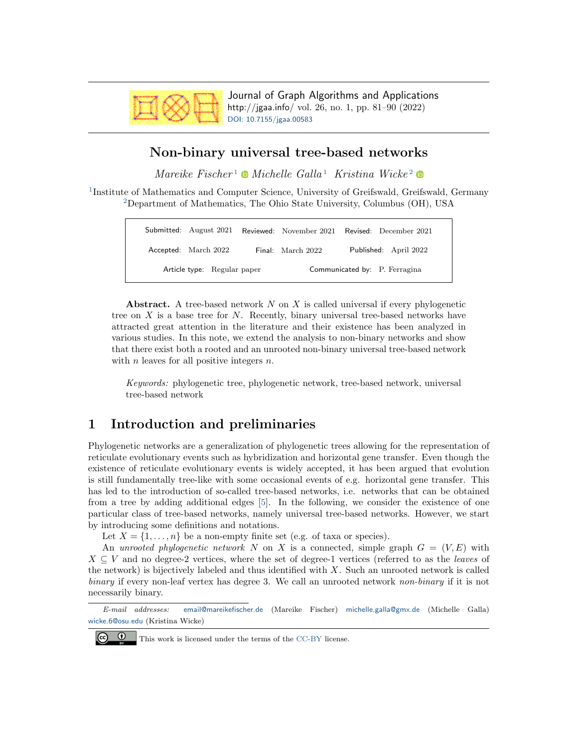

Journal of Graph Algorithms and Applications http://jgaa.info/ vol. 26, no. 1, pp. 81–90 (2022) [DOI: 10.7155/jgaa.00583](http://dx.doi.org/10.7155/jgaa.00583)

# Non-binary universal tree-based networks

 $Mareike Fischer<sup>1</sup>$  $Mareike Fischer<sup>1</sup>$  $Mareike Fischer<sup>1</sup>$  • Michelle Galla<sup>1</sup> Kristina Wicke<sup>[2](#page-0-0)</sup> •

<span id="page-0-0"></span><sup>[1](#page-0-0)</sup>Institute of Mathematics and Computer Science, University of Greifswald, Greifswald, Germany [2](#page-0-0)Department of Mathematics, The Ohio State University, Columbus (OH), USA

|                             |                      |  | Submitted: August 2021 Reviewed: November 2021 Revised: December 2021 |  |                       |
|-----------------------------|----------------------|--|-----------------------------------------------------------------------|--|-----------------------|
|                             | Accepted: March 2022 |  | Final: March 2022                                                     |  | Published: April 2022 |
| Article type: Regular paper |                      |  | Communicated by: P. Ferragina                                         |  |                       |

Abstract. A tree-based network  $N$  on  $X$  is called universal if every phylogenetic tree on  $X$  is a base tree for  $N$ . Recently, binary universal tree-based networks have attracted great attention in the literature and their existence has been analyzed in various studies. In this note, we extend the analysis to non-binary networks and show that there exist both a rooted and an unrooted non-binary universal tree-based network with  $n$  leaves for all positive integers  $n$ .

Keywords: phylogenetic tree, phylogenetic network, tree-based network, universal tree-based network

# 1 Introduction and preliminaries

Phylogenetic networks are a generalization of phylogenetic trees allowing for the representation of reticulate evolutionary events such as hybridization and horizontal gene transfer. Even though the existence of reticulate evolutionary events is widely accepted, it has been argued that evolution is still fundamentally tree-like with some occasional events of e.g. horizontal gene transfer. This has led to the introduction of so-called tree-based networks, i.e. networks that can be obtained from a tree by adding additional edges [\[5\]](#page-9-0). In the following, we consider the existence of one particular class of tree-based networks, namely universal tree-based networks. However, we start by introducing some definitions and notations.

Let  $X = \{1, \ldots, n\}$  be a non-empty finite set (e.g. of taxa or species).

An unrooted phylogenetic network N on X is a connected, simple graph  $G = (V, E)$  with  $X \subseteq V$  and no degree-2 vertices, where the set of degree-1 vertices (referred to as the *leaves* of the network) is bijectively labeled and thus identified with  $X$ . Such an unrooted network is called binary if every non-leaf vertex has degree 3. We call an unrooted network non-binary if it is not necessarily binary.

E-mail addresses: [email@mareikefischer.de](mailto:email@mareikefischer.de) (Mareike Fischer) [michelle.galla@gmx.de](mailto:michelle.galla@gmx.de) (Michelle Galla) [wicke.6@osu.edu](mailto:wicke.6@osu.edu) (Kristina Wicke)



This work is licensed under the terms of the [CC-BY](https://creativecommons.org/licenses/by/4.0/) license.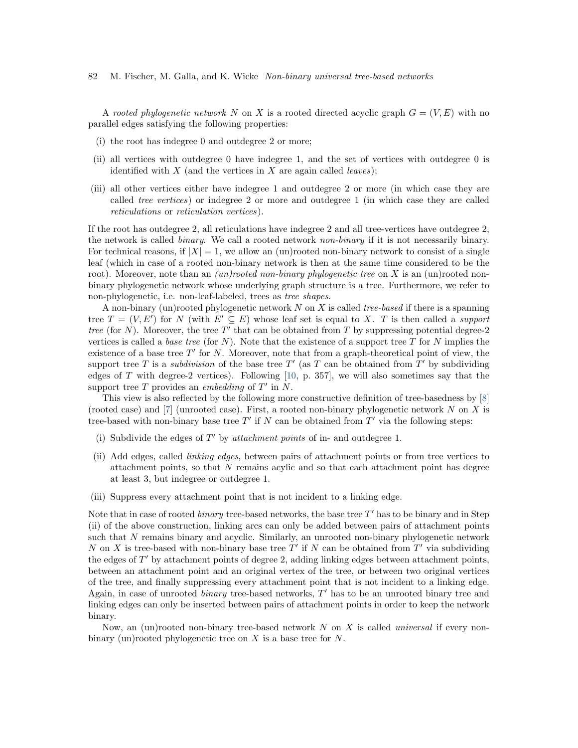82 M. Fischer, M. Galla, and K. Wicke Non-binary universal tree-based networks

A rooted phylogenetic network N on X is a rooted directed acyclic graph  $G = (V, E)$  with no parallel edges satisfying the following properties:

- (i) the root has indegree 0 and outdegree 2 or more;
- (ii) all vertices with outdegree 0 have indegree 1, and the set of vertices with outdegree 0 is identified with  $X$  (and the vertices in  $X$  are again called *leaves*);
- (iii) all other vertices either have indegree 1 and outdegree 2 or more (in which case they are called tree vertices) or indegree 2 or more and outdegree 1 (in which case they are called reticulations or reticulation vertices).

If the root has outdegree 2, all reticulations have indegree 2 and all tree-vertices have outdegree 2, the network is called binary. We call a rooted network non-binary if it is not necessarily binary. For technical reasons, if  $|X| = 1$ , we allow an (un)rooted non-binary network to consist of a single leaf (which in case of a rooted non-binary network is then at the same time considered to be the root). Moreover, note than an *(un)rooted non-binary phylogenetic tree* on X is an (un)rooted nonbinary phylogenetic network whose underlying graph structure is a tree. Furthermore, we refer to non-phylogenetic, i.e. non-leaf-labeled, trees as tree shapes.

A non-binary (un)rooted phylogenetic network  $N$  on  $X$  is called *tree-based* if there is a spanning tree  $T = (V, E')$  for N (with  $E' \subseteq E$ ) whose leaf set is equal to X. T is then called a support tree (for N). Moreover, the tree  $T'$  that can be obtained from T by suppressing potential degree-2 vertices is called a *base tree* (for N). Note that the existence of a support tree T for N implies the existence of a base tree  $T'$  for N. Moreover, note that from a graph-theoretical point of view, the support tree T is a *subdivision* of the base tree  $T'$  (as T can be obtained from  $T'$  by subdividing edges of T with degree-2 vertices). Following  $[10, p. 357]$  $[10, p. 357]$ , we will also sometimes say that the support tree  $T$  provides an *embedding* of  $T'$  in  $N$ .

This view is also reflected by the following more constructive definition of tree-basedness by [\[8\]](#page-9-2) (rooted case) and  $[7]$  (unrooted case). First, a rooted non-binary phylogenetic network N on X is tree-based with non-binary base tree  $T'$  if N can be obtained from  $T'$  via the following steps:

- (i) Subdivide the edges of  $T'$  by attachment points of in- and outdegree 1.
- (ii) Add edges, called linking edges, between pairs of attachment points or from tree vertices to attachment points, so that N remains acylic and so that each attachment point has degree at least 3, but indegree or outdegree 1.
- (iii) Suppress every attachment point that is not incident to a linking edge.

Note that in case of rooted *binary* tree-based networks, the base tree  $T'$  has to be binary and in Step (ii) of the above construction, linking arcs can only be added between pairs of attachment points such that N remains binary and acyclic. Similarly, an unrooted non-binary phylogenetic network N on X is tree-based with non-binary base tree  $T'$  if N can be obtained from  $T'$  via subdividing the edges of  $T'$  by attachment points of degree 2, adding linking edges between attachment points, between an attachment point and an original vertex of the tree, or between two original vertices of the tree, and finally suppressing every attachment point that is not incident to a linking edge. Again, in case of unrooted *binary* tree-based networks, T' has to be an unrooted binary tree and linking edges can only be inserted between pairs of attachment points in order to keep the network binary.

Now, an (un)rooted non-binary tree-based network  $N$  on  $X$  is called *universal* if every nonbinary (un)rooted phylogenetic tree on  $X$  is a base tree for  $N$ .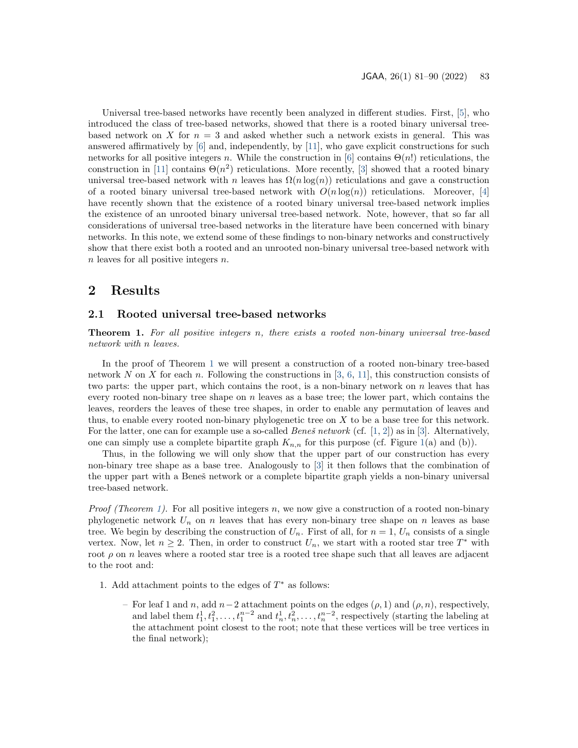Universal tree-based networks have recently been analyzed in different studies. First, [\[5\]](#page-9-0), who introduced the class of tree-based networks, showed that there is a rooted binary universal treebased network on X for  $n = 3$  and asked whether such a network exists in general. This was answered affirmatively by  $[6]$  and, independently, by  $[11]$ , who gave explicit constructions for such networks for all positive integers n. While the construction in [\[6\]](#page-9-4) contains  $\Theta(n!)$  reticulations, the construction in [\[11\]](#page-9-5) contains  $\Theta(n^2)$  reticulations. More recently, [\[3\]](#page-9-6) showed that a rooted binary universal tree-based network with n leaves has  $\Omega(n \log(n))$  reticulations and gave a construction of a rooted binary universal tree-based network with  $O(n \log(n))$  reticulations. Moreover, [\[4\]](#page-9-7) have recently shown that the existence of a rooted binary universal tree-based network implies the existence of an unrooted binary universal tree-based network. Note, however, that so far all considerations of universal tree-based networks in the literature have been concerned with binary networks. In this note, we extend some of these findings to non-binary networks and constructively show that there exist both a rooted and an unrooted non-binary universal tree-based network with  $n$  leaves for all positive integers  $n$ .

### 2 Results

### 2.1 Rooted universal tree-based networks

<span id="page-2-0"></span>**Theorem 1.** For all positive integers n, there exists a rooted non-binary universal tree-based network with n leaves.

In the proof of Theorem [1](#page-2-0) we will present a construction of a rooted non-binary tree-based network N on X for each n. Following the constructions in  $[3, 6, 11]$  $[3, 6, 11]$  $[3, 6, 11]$  $[3, 6, 11]$  $[3, 6, 11]$ , this construction consists of two parts: the upper part, which contains the root, is a non-binary network on  $n$  leaves that has every rooted non-binary tree shape on  $n$  leaves as a base tree; the lower part, which contains the leaves, reorders the leaves of these tree shapes, in order to enable any permutation of leaves and thus, to enable every rooted non-binary phylogenetic tree on X to be a base tree for this network. For the latter, one can for example use a so-called *Beneš network* (cf.  $[1, 2]$  $[1, 2]$  $[1, 2]$ ) as in  $[3]$ . Alternatively, one can simply use a complete bipartite graph  $K_{n,n}$  for this purpose (cf. Figure [1\(](#page-6-0)a) and (b)).

Thus, in the following we will only show that the upper part of our construction has every non-binary tree shape as a base tree. Analogously to [\[3\]](#page-9-6) it then follows that the combination of the upper part with a Beneš network or a complete bipartite graph yields a non-binary universal tree-based network.

*Proof (Theorem [1\)](#page-2-0).* For all positive integers  $n$ , we now give a construction of a rooted non-binary phylogenetic network  $U_n$  on n leaves that has every non-binary tree shape on n leaves as base tree. We begin by describing the construction of  $U_n$ . First of all, for  $n = 1$ ,  $U_n$  consists of a single vertex. Now, let  $n \geq 2$ . Then, in order to construct  $U_n$ , we start with a rooted star tree  $T^*$  with root  $\rho$  on n leaves where a rooted star tree is a rooted tree shape such that all leaves are adjacent to the root and:

- 1. Add attachment points to the edges of  $T^*$  as follows:
	- For leaf 1 and n, add n−2 attachment points on the edges (ρ, 1) and (ρ, n), respectively, and label them  $t_1^1, t_1^2, \ldots, t_1^{n-2}$  and  $t_n^1, t_n^2, \ldots, t_n^{n-2}$ , respectively (starting the labeling at the attachment point closest to the root; note that these vertices will be tree vertices in the final network);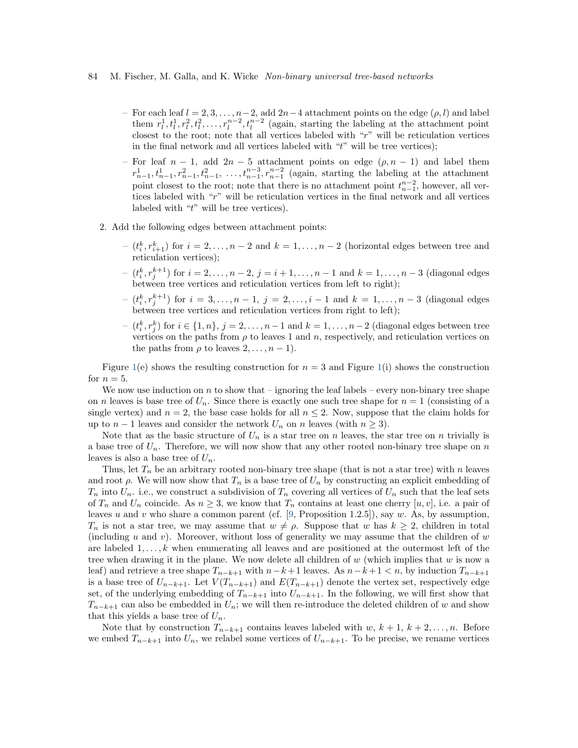#### 84 M. Fischer, M. Galla, and K. Wicke Non-binary universal tree-based networks

- For each leaf  $l = 2, 3, \ldots, n-2$ , add  $2n-4$  attachment points on the edge  $(\rho, l)$  and label them  $r_l^1, t_l^1, r_l^2, t_l^2, \ldots, r_l^{n-2}, t_l^{n-2}$  (again, starting the labeling at the attachment point closest to the root; note that all vertices labeled with "r" will be reticulation vertices in the final network and all vertices labeled with " $t$ " will be tree vertices);
- For leaf  $n-1$ , add  $2n-5$  attachment points on edge  $(\rho, n-1)$  and label them  $r_{n-1}^1, t_{n-1}^1, r_{n-1}^2, t_{n-1}^2, \ldots, t_{n-1}^{n-3}, r_{n-1}^{n-2}$  (again, starting the labeling at the attachment point closest to the root; note that there is no attachment point  $t_{n-1}^{n-2}$ , however, all vertices labeled with "r" will be reticulation vertices in the final network and all vertices labeled with "t" will be tree vertices).
- <span id="page-3-0"></span>2. Add the following edges between attachment points:
	- $(i, r_{i+1}^k)$  for  $i = 2, ..., n-2$  and  $k = 1, ..., n-2$  (horizontal edges between tree and reticulation vertices);
	- $(i, r_j^{k+1})$  for  $i = 2, ..., n-2, j = i+1, ..., n-1$  and  $k = 1, ..., n-3$  (diagonal edges) between tree vertices and reticulation vertices from left to right);
	- $(i, r_j^{k+1})$  for  $i = 3, ..., n-1, j = 2, ..., i-1$  and  $k = 1, ..., n-3$  (diagonal edges) between tree vertices and reticulation vertices from right to left);
	- $(i^k, r^k)$  for  $i \in \{1, n\}, j = 2, ..., n-1$  and  $k = 1, ..., n-2$  (diagonal edges between tree vertices on the paths from  $\rho$  to leaves 1 and n, respectively, and reticulation vertices on the paths from  $\rho$  to leaves  $2, \ldots, n-1$ .

Figure [1\(](#page-6-0)e) shows the resulting construction for  $n = 3$  and Figure 1(i) shows the construction for  $n = 5$ .

We now use induction on n to show that – ignoring the leaf labels – every non-binary tree shape on n leaves is base tree of  $U_n$ . Since there is exactly one such tree shape for  $n = 1$  (consisting of a single vertex) and  $n = 2$ , the base case holds for all  $n \leq 2$ . Now, suppose that the claim holds for up to  $n-1$  leaves and consider the network  $U_n$  on n leaves (with  $n \geq 3$ ).

Note that as the basic structure of  $U_n$  is a star tree on n leaves, the star tree on n trivially is a base tree of  $U_n$ . Therefore, we will now show that any other rooted non-binary tree shape on n leaves is also a base tree of  $U_n$ .

Thus, let  $T_n$  be an arbitrary rooted non-binary tree shape (that is not a star tree) with n leaves and root  $\rho$ . We will now show that  $T_n$  is a base tree of  $U_n$  by constructing an explicit embedding of  $T_n$  into  $U_n$ . i.e., we construct a subdivision of  $T_n$  covering all vertices of  $U_n$  such that the leaf sets of  $T_n$  and  $U_n$  coincide. As  $n \geq 3$ , we know that  $T_n$  contains at least one cherry  $[u, v]$ , i.e. a pair of leaves u and v who share a common parent (cf. [\[9,](#page-9-10) Proposition 1.2.5]), say w. As, by assumption,  $T_n$  is not a star tree, we may assume that  $w \neq \rho$ . Suppose that w has  $k \geq 2$ , children in total (including u and v). Moreover, without loss of generality we may assume that the children of  $w$ are labeled  $1, \ldots, k$  when enumerating all leaves and are positioned at the outermost left of the tree when drawing it in the plane. We now delete all children of  $w$  (which implies that  $w$  is now a leaf) and retrieve a tree shape  $T_{n-k+1}$  with  $n-k+1$  leaves. As  $n-k+1 < n$ , by induction  $T_{n-k+1}$ is a base tree of  $U_{n-k+1}$ . Let  $V(T_{n-k+1})$  and  $E(T_{n-k+1})$  denote the vertex set, respectively edge set, of the underlying embedding of  $T_{n-k+1}$  into  $U_{n-k+1}$ . In the following, we will first show that  $T_{n-k+1}$  can also be embedded in  $U_n$ ; we will then re-introduce the deleted children of w and show that this yields a base tree of  $U_n$ .

Note that by construction  $T_{n-k+1}$  contains leaves labeled with w,  $k+1, k+2, \ldots, n$ . Before we embed  $T_{n-k+1}$  into  $U_n$ , we relabel some vertices of  $U_{n-k+1}$ . To be precise, we rename vertices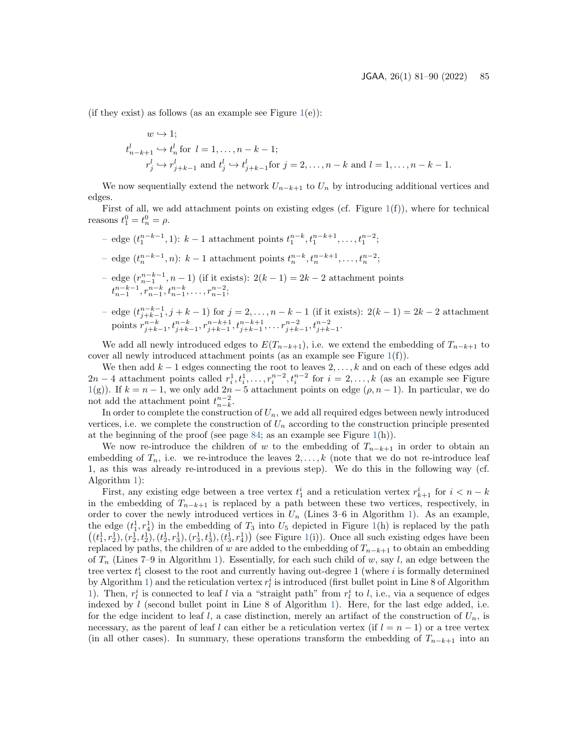(if they exist) as follows (as an example see Figure  $1(e)$  $1(e)$ ):

$$
w \hookrightarrow 1;
$$
  
\n
$$
t_{n-k+1}^l \hookrightarrow t_n^l \text{ for } l = 1, \dots, n-k-1;
$$
  
\n
$$
r_j^l \hookrightarrow r_{j+k-1}^l \text{ and } t_j^l \hookrightarrow t_{j+k-1}^l \text{ for } j = 2, \dots, n-k \text{ and } l = 1, \dots, n-k-1.
$$

We now sequentially extend the network  $U_{n-k+1}$  to  $U_n$  by introducing additional vertices and edges.

First of all, we add attachment points on existing edges (cf. Figure [1\(](#page-6-0)f)), where for technical reasons  $t_1^0 = t_n^0 = \rho$ .

- edge  $(t_1^{n-k-1}, 1)$ :  $k-1$  attachment points  $t_1^{n-k}, t_1^{n-k+1}, \ldots, t_1^{n-2}$ ;
- edge  $(t_n^{n-k-1}, n)$ : k − 1 attachment points  $t_n^{n-k}, t_n^{n-k+1}, \ldots, t_n^{n-2}$ ;
- edge  $(r_{n-1}^{n-k-1}, n-1)$  (if it exists):  $2(k-1) = 2k-2$  attachment points  $t^{n-k-1}_{n-1}, r^{n-k}_{n-1}, t^{n-k}_{n-1}, \ldots, r^{n-2}_{n-1};$
- edge  $(t_{j+k-1}^{n-k-1}, j+k-1)$  for  $j = 2, ..., n-k-1$  (if it exists):  $2(k-1) = 2k-2$  attachment points  $r_{j+k-1}^{n-k}, t_{j+k-1}^{n-k}, r_{j+k-1}^{n-k+1}, t_{j+k-1}^{n-k+1}, \ldots, r_{j+k-1}^{n-2}, t_{j+k-1}^{n-2}$ .

We add all newly introduced edges to  $E(T_{n-k+1})$ , i.e. we extend the embedding of  $T_{n-k+1}$  to cover all newly introduced attachment points (as an example see Figure  $1(f)$  $1(f)$ ).

We then add  $k-1$  edges connecting the root to leaves  $2, \ldots, k$  and on each of these edges add  $2n-4$  attachment points called  $r_i^1, t_i^1, \ldots, r_i^{n-2}, t_i^{n-2}$  for  $i = 2, \ldots, k$  (as an example see Figure [1\(](#page-6-0)g)). If  $k = n - 1$ , we only add  $2n - 5$  attachment points on edge  $(\rho, n - 1)$ . In particular, we do not add the attachment point  $t_{n-k}^{n-2}$ .

In order to complete the construction of  $U_n$ , we add all required edges between newly introduced vertices, i.e. we complete the construction of  $U_n$  according to the construction principle presented at the beginning of the proof (see page [84;](#page-3-0) as an example see Figure  $1(h)$  $1(h)$ ).

We now re-introduce the children of w to the embedding of  $T_{n-k+1}$  in order to obtain an embedding of  $T_n$ , i.e. we re-introduce the leaves  $2, \ldots, k$  (note that we do not re-introduce leaf 1, as this was already re-introduced in a previous step). We do this in the following way (cf. Algorithm [1\)](#page-5-0):

First, any existing edge between a tree vertex  $t_1^i$  and a reticulation vertex  $r_{k+1}^i$  for  $i < n-k$ in the embedding of  $T_{n-k+1}$  is replaced by a path between these two vertices, respectively, in order to cover the newly introduced vertices in  $U_n$  (Lines 3–6 in Algorithm [1\)](#page-5-0). As an example, the edge  $(t_1^1, t_4^1)$  in the embedding of  $T_3$  into  $U_5$  depicted in Figure [1\(](#page-6-0)h) is replaced by the path  $((t_1^1, r_2^1), (r_2^1, t_2^1), (t_2^1, r_3^1), (r_3^1, t_3^1), (t_3^1, r_4^1))$  (see Figure [1\(](#page-6-0)i)). Once all such existing edges have been replaced by paths, the children of w are added to the embedding of  $T_{n-k+1}$  to obtain an embedding of  $T_n$  (Lines 7–9 in Algorithm [1\)](#page-5-0). Essentially, for each such child of w, say l, an edge between the tree vertex  $t_1^i$  closest to the root and currently having out-degree 1 (where i is formally determined by Algorithm [1\)](#page-5-0) and the reticulation vertex  $r_l^i$  is introduced (first bullet point in Line 8 of Algorithm [1\)](#page-5-0). Then,  $r_l^i$  is connected to leaf l via a "straight path" from  $r_l^i$  to l, i.e., via a sequence of edges indexed by  $l$  (second bullet point in Line 8 of Algorithm [1\)](#page-5-0). Here, for the last edge added, i.e. for the edge incident to leaf l, a case distinction, merely an artifact of the construction of  $U_n$ , is necessary, as the parent of leaf l can either be a reticulation vertex (if  $l = n - 1$ ) or a tree vertex (in all other cases). In summary, these operations transform the embedding of  $T_{n-k+1}$  into an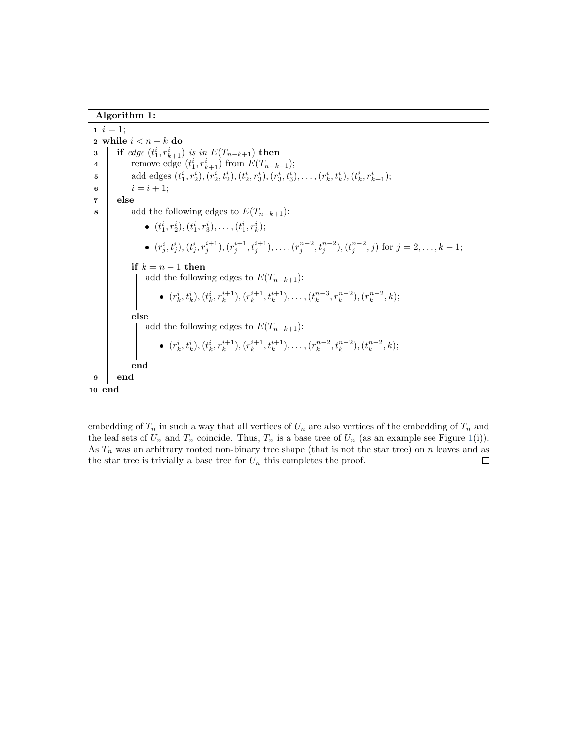Algorithm 1:

 $1 \; i = 1;$ 2 while  $i < n - k$  do **3** if edge  $(t_1^i, r_{k+1}^i)$  is in  $E(T_{n-k+1})$  then 4 | remove edge  $(t_1^i, r_{k+1}^i)$  from  $E(T_{n-k+1});$  $\mathbf{5}$  add edges  $(t_1^i, r_2^i), (r_2^i, t_2^i), (t_2^i, r_3^i), (r_3^i, t_3^i), \ldots, (r_k^i, t_k^i), (t_k^i, r_{k+1}^i);$ 6 |  $i = i + 1$ ; 7 else 8 add the following edges to  $E(T_{n-k+1})$ : •  $(t_1^i, r_2^i), (t_1^i, r_3^i), \ldots, (t_1^i, r_k^i);$ •  $(r_j^i, t_j^i), (t_j^i, r_j^{i+1}), (r_j^{i+1}, t_j^{i+1}), \ldots, (r_j^{n-2}, t_j^{n-2}), (t_j^{n-2}, j)$  for  $j = 2, \ldots, k-1$ ; if  $k = n - 1$  then add the following edges to  $E(T_{n-k+1})$ : •  $(r_k^i, t_k^i), (t_k^i, r_k^{i+1}), (r_k^{i+1}, t_k^{i+1}), \ldots, (t_k^{n-3}, r_k^{n-2}), (r_k^{n-2}, k);$ else add the following edges to  $E(T_{n-k+1})$ : •  $(r_k^i, t_k^i), (t_k^i, r_k^{i+1}), (r_k^{i+1}, t_k^{i+1}), \ldots, (r_k^{n-2}, t_k^{n-2}), (t_k^{n-2}, k);$ end 9 end 10 end

<span id="page-5-0"></span>embedding of  $T_n$  in such a way that all vertices of  $U_n$  are also vertices of the embedding of  $T_n$  and the leaf sets of  $U_n$  and  $T_n$  coincide. Thus,  $T_n$  is a base tree of  $U_n$  (as an example see Figure [1\(](#page-6-0)i)). As  $T_n$  was an arbitrary rooted non-binary tree shape (that is not the star tree) on n leaves and as the star tree is trivially a base tree for  $U_n$  this completes the proof.  $\Box$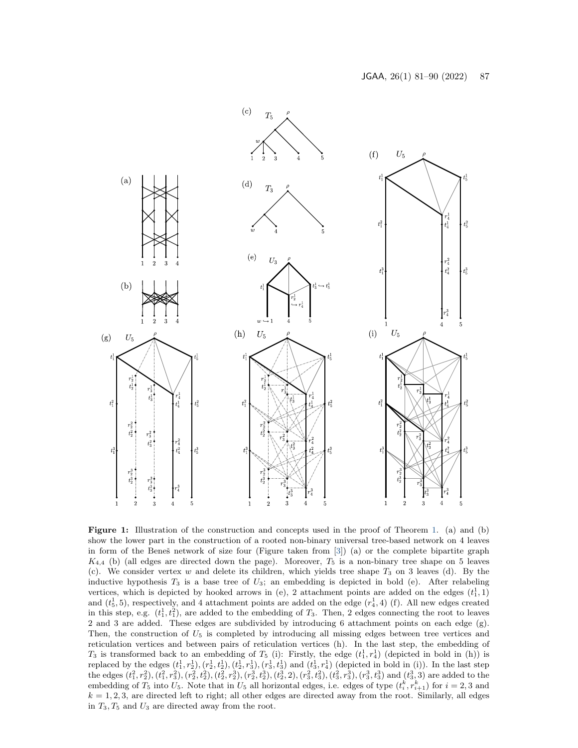<span id="page-6-0"></span>

Figure 1: Illustration of the construction and concepts used in the proof of Theorem [1.](#page-2-0) (a) and (b) show the lower part in the construction of a rooted non-binary universal tree-based network on 4 leaves in form of the Beneš network of size four (Figure taken from [\[3\]](#page-9-6)) (a) or the complete bipartite graph  $K_{4,4}$  (b) (all edges are directed down the page). Moreover,  $T_5$  is a non-binary tree shape on 5 leaves (c). We consider vertex  $w$  and delete its children, which yields tree shape  $T_3$  on 3 leaves (d). By the inductive hypothesis  $T_3$  is a base tree of  $U_3$ ; an embedding is depicted in bold (e). After relabeling vertices, which is depicted by hooked arrows in (e), 2 attachment points are added on the edges  $(t_1^1, 1)$ and  $(t_5^1, 5)$ , respectively, and 4 attachment points are added on the edge  $(r_4^1, 4)$  (f). All new edges created in this step, e.g.  $(t_1^1, t_1^2)$ , are added to the embedding of  $T_3$ . Then, 2 edges connecting the root to leaves 2 and 3 are added. These edges are subdivided by introducing 6 attachment points on each edge (g). Then, the construction of  $U_5$  is completed by introducing all missing edges between tree vertices and reticulation vertices and between pairs of reticulation vertices (h). In the last step, the embedding of  $T_3$  is transformed back to an embedding of  $T_5$  (i): Firstly, the edge  $(t_1^1, t_4^1)$  (depicted in bold in (h)) is replaced by the edges  $(t_1^1, r_2^1), (r_2^1, t_2^1), (t_2^1, r_3^1), (r_3^1, t_3^1)$  and  $(t_3^1, r_4^1)$  (depicted in bold in (i)). In the last step the edges  $(t_1^2, r_2^2), (t_1^2, r_3^2), (r_2^2, t_2^2), (t_2^2, r_2^3), (r_2^3, t_3^3), (t_3^3, t_3^3), (t_3^3, t_3^3), (r_3^3, t_3^3)$  and  $(t_3^3, 3)$  are added to the embedding of  $T_5$  into  $U_5$ . Note that in  $U_5$  all horizontal edges, i.e. edges of type  $(t_i^k, r_{i+1}^k)$  for  $i = 2, 3$  and  $k = 1, 2, 3$ , are directed left to right; all other edges are directed away from the root. Similarly, all edges in  $T_3, T_5$  and  $U_3$  are directed away from the root.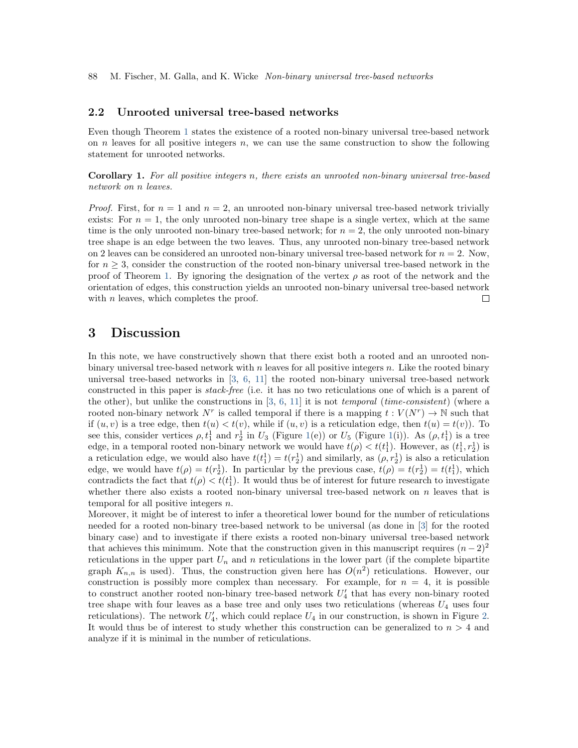### 2.2 Unrooted universal tree-based networks

Even though Theorem [1](#page-2-0) states the existence of a rooted non-binary universal tree-based network on  $n$  leaves for all positive integers  $n$ , we can use the same construction to show the following statement for unrooted networks.

Corollary 1. For all positive integers n, there exists an unrooted non-binary universal tree-based network on n leaves.

*Proof.* First, for  $n = 1$  and  $n = 2$ , an unrooted non-binary universal tree-based network trivially exists: For  $n = 1$ , the only unrooted non-binary tree shape is a single vertex, which at the same time is the only unrooted non-binary tree-based network; for  $n = 2$ , the only unrooted non-binary tree shape is an edge between the two leaves. Thus, any unrooted non-binary tree-based network on 2 leaves can be considered an unrooted non-binary universal tree-based network for  $n = 2$ . Now, for  $n \geq 3$ , consider the construction of the rooted non-binary universal tree-based network in the proof of Theorem [1.](#page-2-0) By ignoring the designation of the vertex  $\rho$  as root of the network and the orientation of edges, this construction yields an unrooted non-binary universal tree-based network with  $n$  leaves, which completes the proof.  $\Box$ 

## 3 Discussion

In this note, we have constructively shown that there exist both a rooted and an unrooted nonbinary universal tree-based network with  $n$  leaves for all positive integers  $n$ . Like the rooted binary universal tree-based networks in [\[3,](#page-9-6) [6,](#page-9-4) [11\]](#page-9-5) the rooted non-binary universal tree-based network constructed in this paper is stack-free (i.e. it has no two reticulations one of which is a parent of the other), but unlike the constructions in  $[3, 6, 11]$  $[3, 6, 11]$  $[3, 6, 11]$  $[3, 6, 11]$  $[3, 6, 11]$  it is not *temporal (time-consistent)* (where a rooted non-binary network N<sup>r</sup> is called temporal if there is a mapping  $t: V(N^r) \to \mathbb{N}$  such that if  $(u, v)$  is a tree edge, then  $t(u) < t(v)$ , while if  $(u, v)$  is a reticulation edge, then  $t(u) = t(v)$ ). To see this, consider vertices  $\rho, t_1^1$  and  $r_2^1$  in  $U_3$  (Figure [1\(](#page-6-0)e)) or  $U_5$  (Figure 1(i)). As  $(\rho, t_1^1)$  is a tree edge, in a temporal rooted non-binary network we would have  $t(\rho) < t(t_1^1)$ . However, as  $(t_1^1, r_2^1)$  is a reticulation edge, we would also have  $t(t_1^1) = t(r_2^1)$  and similarly, as  $(\rho, r_2^1)$  is also a reticulation edge, we would have  $t(\rho) = t(r_2^1)$ . In particular by the previous case,  $t(\rho) = t(r_2^1) = t(t_1^1)$ , which contradicts the fact that  $t(\rho) < t(t_1^1)$ . It would thus be of interest for future research to investigate whether there also exists a rooted non-binary universal tree-based network on  $n$  leaves that is temporal for all positive integers  $n$ .

Moreover, it might be of interest to infer a theoretical lower bound for the number of reticulations needed for a rooted non-binary tree-based network to be universal (as done in [\[3\]](#page-9-6) for the rooted binary case) and to investigate if there exists a rooted non-binary universal tree-based network that achieves this minimum. Note that the construction given in this manuscript requires  $(n-2)^2$ reticulations in the upper part  $U_n$  and n reticulations in the lower part (if the complete bipartite graph  $K_{n,n}$  is used). Thus, the construction given here has  $O(n^2)$  reticulations. However, our construction is possibly more complex than necessary. For example, for  $n = 4$ , it is possible to construct another rooted non-binary tree-based network  $U'_4$  that has every non-binary rooted tree shape with four leaves as a base tree and only uses two reticulations (whereas  $U_4$  uses four reticulations). The network  $U'_4$ , which could replace  $U_4$  in our construction, is shown in Figure [2.](#page-8-0) It would thus be of interest to study whether this construction can be generalized to  $n > 4$  and analyze if it is minimal in the number of reticulations.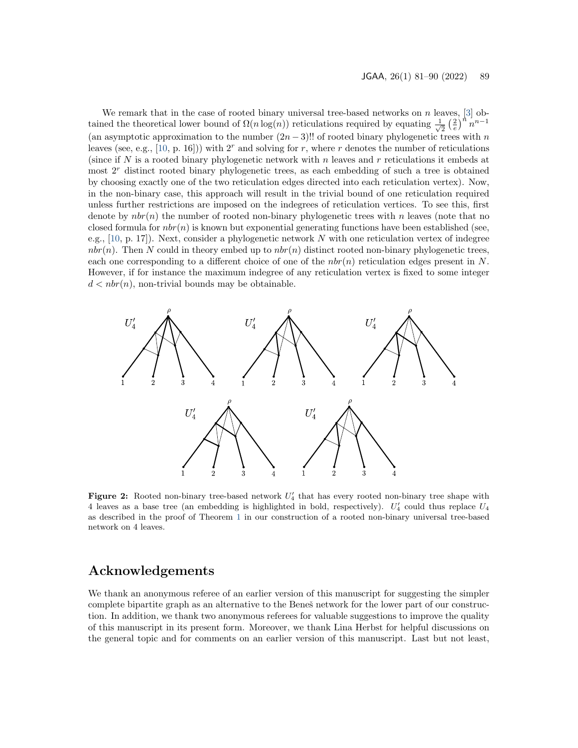We remark that in the case of rooted binary universal tree-based networks on  $n$  leaves, [\[3\]](#page-9-6) obtained the theoretical lower bound of  $\Omega(n \log(n))$  reticulations required by equating  $\frac{1}{\sqrt{n}}$  $\frac{1}{2} \left(\frac{2}{e}\right)^n n^{n-1}$ (an asymptotic approximation to the number  $(2n-3)$ !! of rooted binary phylogenetic trees with n leaves (see, e.g., [\[10,](#page-9-1) p. 16])) with 2<sup>r</sup> and solving for r, where r denotes the number of reticulations (since if N is a rooted binary phylogenetic network with n leaves and  $r$  reticulations it embeds at most  $2<sup>r</sup>$  distinct rooted binary phylogenetic trees, as each embedding of such a tree is obtained by choosing exactly one of the two reticulation edges directed into each reticulation vertex). Now, in the non-binary case, this approach will result in the trivial bound of one reticulation required unless further restrictions are imposed on the indegrees of reticulation vertices. To see this, first denote by  $nbr(n)$  the number of rooted non-binary phylogenetic trees with n leaves (note that no closed formula for  $nbr(n)$  is known but exponential generating functions have been established (see, e.g.,  $[10, p. 17]$  $[10, p. 17]$ . Next, consider a phylogenetic network N with one reticulation vertex of indegree  $nbr(n)$ . Then N could in theory embed up to  $nbr(n)$  distinct rooted non-binary phylogenetic trees, each one corresponding to a different choice of one of the  $nbr(n)$  reticulation edges present in N. However, if for instance the maximum indegree of any reticulation vertex is fixed to some integer  $d < nbr(n)$ , non-trivial bounds may be obtainable.

<span id="page-8-0"></span>

Figure 2: Rooted non-binary tree-based network  $U_4'$  that has every rooted non-binary tree shape with 4 leaves as a base tree (an embedding is highlighted in bold, respectively).  $U'_4$  could thus replace  $U_4$ as described in the proof of Theorem [1](#page-2-0) in our construction of a rooted non-binary universal tree-based network on 4 leaves.

## Acknowledgements

We thank an anonymous referee of an earlier version of this manuscript for suggesting the simpler complete bipartite graph as an alternative to the Benes̆ network for the lower part of our construction. In addition, we thank two anonymous referees for valuable suggestions to improve the quality of this manuscript in its present form. Moreover, we thank Lina Herbst for helpful discussions on the general topic and for comments on an earlier version of this manuscript. Last but not least,